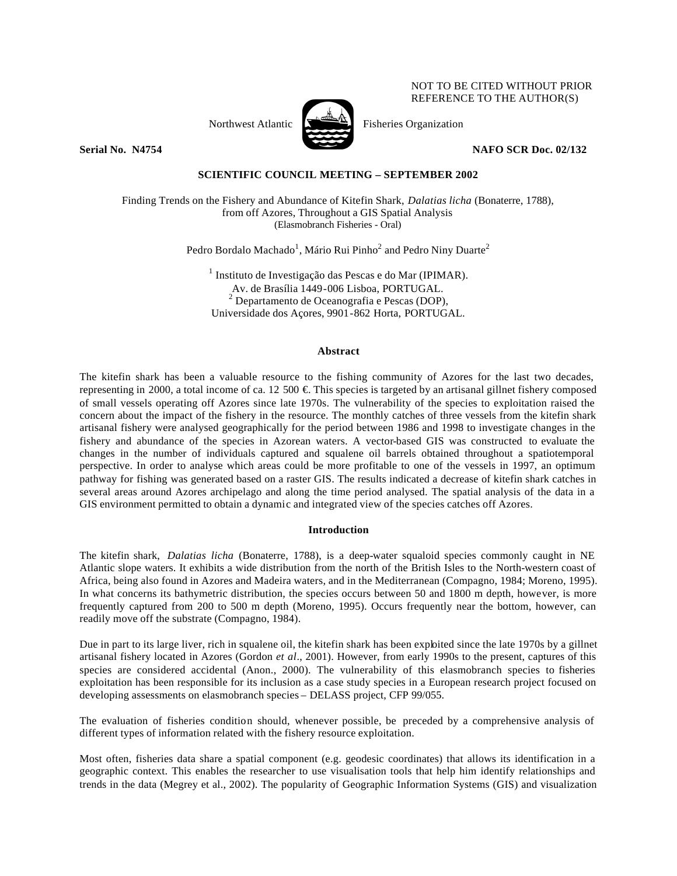NOT TO BE CITED WITHOUT PRIOR REFERENCE TO THE AUTHOR(S)

Northwest Atlantic  $\sum_{n=1}^{\infty}$  Fisheries Organization



**Serial No. 24754 NAFO SCR Doc. 02/132** 

# **SCIENTIFIC COUNCIL MEETING – SEPTEMBER 2002**

Finding Trends on the Fishery and Abundance of Kitefin Shark, *Dalatias licha* (Bonaterre, 1788), from off Azores, Throughout a GIS Spatial Analysis (Elasmobranch Fisheries - Oral)

Pedro Bordalo Machado $^1$ , Mário Rui Pinho $^2$  and Pedro Niny Duarte $^2$ 

<sup>1</sup> Instituto de Investigação das Pescas e do Mar (IPIMAR). Av. de Brasília 1449-006 Lisboa, PORTUGAL.  $2^{2}$  Departamento de Oceanografia e Pescas (DOP), Universidade dos Açores, 9901-862 Horta, PORTUGAL.

### **Abstract**

The kitefin shark has been a valuable resource to the fishing community of Azores for the last two decades, representing in 2000, a total income of ca. 12 500  $\in$  This species is targeted by an artisanal gillnet fishery composed of small vessels operating off Azores since late 1970s. The vulnerability of the species to exploitation raised the concern about the impact of the fishery in the resource. The monthly catches of three vessels from the kitefin shark artisanal fishery were analysed geographically for the period between 1986 and 1998 to investigate changes in the fishery and abundance of the species in Azorean waters. A vector-based GIS was constructed to evaluate the changes in the number of individuals captured and squalene oil barrels obtained throughout a spatiotemporal perspective. In order to analyse which areas could be more profitable to one of the vessels in 1997, an optimum pathway for fishing was generated based on a raster GIS. The results indicated a decrease of kitefin shark catches in several areas around Azores archipelago and along the time period analysed. The spatial analysis of the data in a GIS environment permitted to obtain a dynamic and integrated view of the species catches off Azores.

## **Introduction**

The kitefin shark, *Dalatias licha* (Bonaterre, 1788), is a deep-water squaloid species commonly caught in NE Atlantic slope waters. It exhibits a wide distribution from the north of the British Isles to the North-western coast of Africa, being also found in Azores and Madeira waters, and in the Mediterranean (Compagno, 1984; Moreno, 1995). In what concerns its bathymetric distribution, the species occurs between 50 and 1800 m depth, however, is more frequently captured from 200 to 500 m depth (Moreno, 1995). Occurs frequently near the bottom, however, can readily move off the substrate (Compagno, 1984).

Due in part to its large liver, rich in squalene oil, the kitefin shark has been exploited since the late 1970s by a gillnet artisanal fishery located in Azores (Gordon *et al*., 2001). However, from early 1990s to the present, captures of this species are considered accidental (Anon., 2000). The vulnerability of this elasmobranch species to fisheries exploitation has been responsible for its inclusion as a case study species in a European research project focused on developing assessments on elasmobranch species – DELASS project, CFP 99/055.

The evaluation of fisheries condition should, whenever possible, be preceded by a comprehensive analysis of different types of information related with the fishery resource exploitation.

Most often, fisheries data share a spatial component (e.g. geodesic coordinates) that allows its identification in a geographic context. This enables the researcher to use visualisation tools that help him identify relationships and trends in the data (Megrey et al., 2002). The popularity of Geographic Information Systems (GIS) and visualization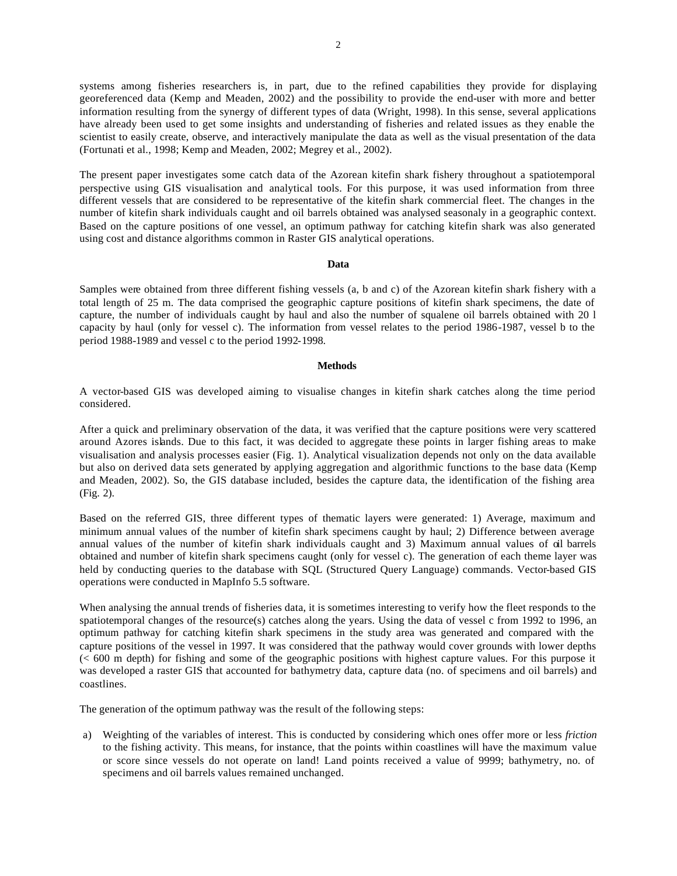systems among fisheries researchers is, in part, due to the refined capabilities they provide for displaying georeferenced data (Kemp and Meaden, 2002) and the possibility to provide the end-user with more and better information resulting from the synergy of different types of data (Wright, 1998). In this sense, several applications have already been used to get some insights and understanding of fisheries and related issues as they enable the scientist to easily create, observe, and interactively manipulate the data as well as the visual presentation of the data (Fortunati et al., 1998; Kemp and Meaden, 2002; Megrey et al., 2002).

The present paper investigates some catch data of the Azorean kitefin shark fishery throughout a spatiotemporal perspective using GIS visualisation and analytical tools. For this purpose, it was used information from three different vessels that are considered to be representative of the kitefin shark commercial fleet. The changes in the number of kitefin shark individuals caught and oil barrels obtained was analysed seasonaly in a geographic context. Based on the capture positions of one vessel, an optimum pathway for catching kitefin shark was also generated using cost and distance algorithms common in Raster GIS analytical operations.

### **Data**

Samples were obtained from three different fishing vessels (a, b and c) of the Azorean kitefin shark fishery with a total length of 25 m. The data comprised the geographic capture positions of kitefin shark specimens, the date of capture, the number of individuals caught by haul and also the number of squalene oil barrels obtained with 20 l capacity by haul (only for vessel c). The information from vessel relates to the period 1986-1987, vessel b to the period 1988-1989 and vessel c to the period 1992-1998.

### **Methods**

A vector-based GIS was developed aiming to visualise changes in kitefin shark catches along the time period considered.

After a quick and preliminary observation of the data, it was verified that the capture positions were very scattered around Azores islands. Due to this fact, it was decided to aggregate these points in larger fishing areas to make visualisation and analysis processes easier (Fig. 1). Analytical visualization depends not only on the data available but also on derived data sets generated by applying aggregation and algorithmic functions to the base data (Kemp and Meaden, 2002). So, the GIS database included, besides the capture data, the identification of the fishing area (Fig. 2).

Based on the referred GIS, three different types of thematic layers were generated: 1) Average, maximum and minimum annual values of the number of kitefin shark specimens caught by haul; 2) Difference between average annual values of the number of kitefin shark individuals caught and 3) Maximum annual values of oil barrels obtained and number of kitefin shark specimens caught (only for vessel c). The generation of each theme layer was held by conducting queries to the database with SQL (Structured Query Language) commands. Vector-based GIS operations were conducted in MapInfo 5.5 software.

When analysing the annual trends of fisheries data, it is sometimes interesting to verify how the fleet responds to the spatiotemporal changes of the resource(s) catches along the years. Using the data of vessel c from 1992 to 1996, an optimum pathway for catching kitefin shark specimens in the study area was generated and compared with the capture positions of the vessel in 1997. It was considered that the pathway would cover grounds with lower depths  $\leq 600$  m depth) for fishing and some of the geographic positions with highest capture values. For this purpose it was developed a raster GIS that accounted for bathymetry data, capture data (no. of specimens and oil barrels) and coastlines.

The generation of the optimum pathway was the result of the following steps:

a) Weighting of the variables of interest. This is conducted by considering which ones offer more or less *friction* to the fishing activity. This means, for instance, that the points within coastlines will have the maximum value or score since vessels do not operate on land! Land points received a value of 9999; bathymetry, no. of specimens and oil barrels values remained unchanged.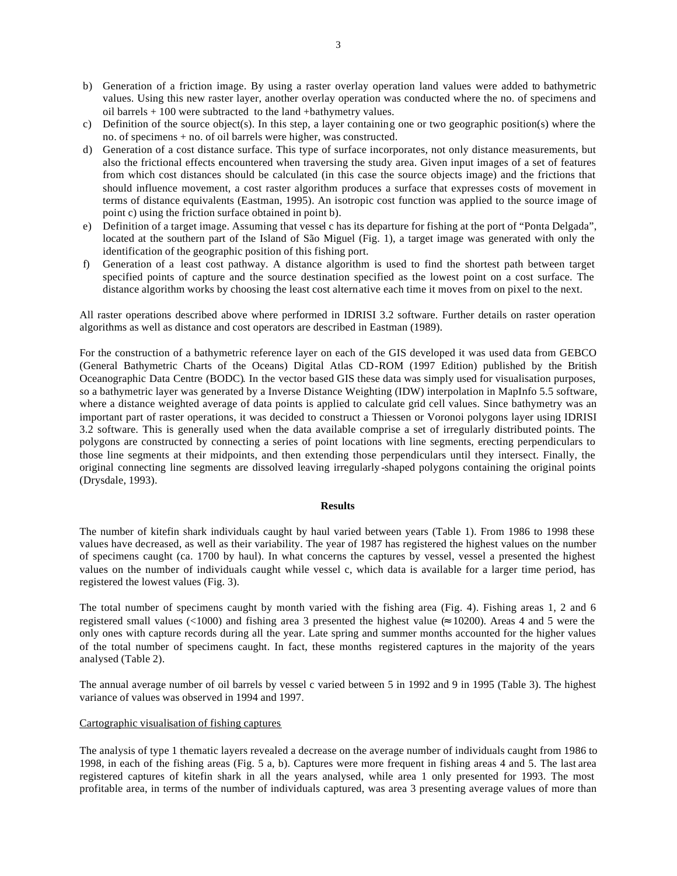- b) Generation of a friction image. By using a raster overlay operation land values were added to bathymetric values. Using this new raster layer, another overlay operation was conducted where the no. of specimens and oil barrels + 100 were subtracted to the land +bathymetry values.
- c) Definition of the source object(s). In this step, a layer containing one or two geographic position(s) where the no. of specimens + no. of oil barrels were higher, was constructed.
- d) Generation of a cost distance surface. This type of surface incorporates, not only distance measurements, but also the frictional effects encountered when traversing the study area. Given input images of a set of features from which cost distances should be calculated (in this case the source objects image) and the frictions that should influence movement, a cost raster algorithm produces a surface that expresses costs of movement in terms of distance equivalents (Eastman, 1995). An isotropic cost function was applied to the source image of point c) using the friction surface obtained in point b).
- e) Definition of a target image. Assuming that vessel c has its departure for fishing at the port of "Ponta Delgada", located at the southern part of the Island of São Miguel (Fig. 1), a target image was generated with only the identification of the geographic position of this fishing port.
- f) Generation of a least cost pathway. A distance algorithm is used to find the shortest path between target specified points of capture and the source destination specified as the lowest point on a cost surface. The distance algorithm works by choosing the least cost alternative each time it moves from on pixel to the next.

All raster operations described above where performed in IDRISI 3.2 software. Further details on raster operation algorithms as well as distance and cost operators are described in Eastman (1989).

For the construction of a bathymetric reference layer on each of the GIS developed it was used data from GEBCO (General Bathymetric Charts of the Oceans) Digital Atlas CD-ROM (1997 Edition) published by the British Oceanographic Data Centre (BODC). In the vector based GIS these data was simply used for visualisation purposes, so a bathymetric layer was generated by a Inverse Distance Weighting (IDW) interpolation in MapInfo 5.5 software, where a distance weighted average of data points is applied to calculate grid cell values. Since bathymetry was an important part of raster operations, it was decided to construct a Thiessen or Voronoi polygons layer using IDRISI 3.2 software. This is generally used when the data available comprise a set of irregularly distributed points. The polygons are constructed by connecting a series of point locations with line segments, erecting perpendiculars to those line segments at their midpoints, and then extending those perpendiculars until they intersect. Finally, the original connecting line segments are dissolved leaving irregularly -shaped polygons containing the original points (Drysdale, 1993).

## **Results**

The number of kitefin shark individuals caught by haul varied between years (Table 1). From 1986 to 1998 these values have decreased, as well as their variability. The year of 1987 has registered the highest values on the number of specimens caught (ca. 1700 by haul). In what concerns the captures by vessel, vessel a presented the highest values on the number of individuals caught while vessel c, which data is available for a larger time period, has registered the lowest values (Fig. 3).

The total number of specimens caught by month varied with the fishing area (Fig. 4). Fishing areas 1, 2 and 6 registered small values (<1000) and fishing area 3 presented the highest value  $\approx$  10200). Areas 4 and 5 were the only ones with capture records during all the year. Late spring and summer months accounted for the higher values of the total number of specimens caught. In fact, these months registered captures in the majority of the years analysed (Table 2).

The annual average number of oil barrels by vessel c varied between 5 in 1992 and 9 in 1995 (Table 3). The highest variance of values was observed in 1994 and 1997.

# Cartographic visualisation of fishing captures

The analysis of type 1 thematic layers revealed a decrease on the average number of individuals caught from 1986 to 1998, in each of the fishing areas (Fig. 5 a, b). Captures were more frequent in fishing areas 4 and 5. The last area registered captures of kitefin shark in all the years analysed, while area 1 only presented for 1993. The most profitable area, in terms of the number of individuals captured, was area 3 presenting average values of more than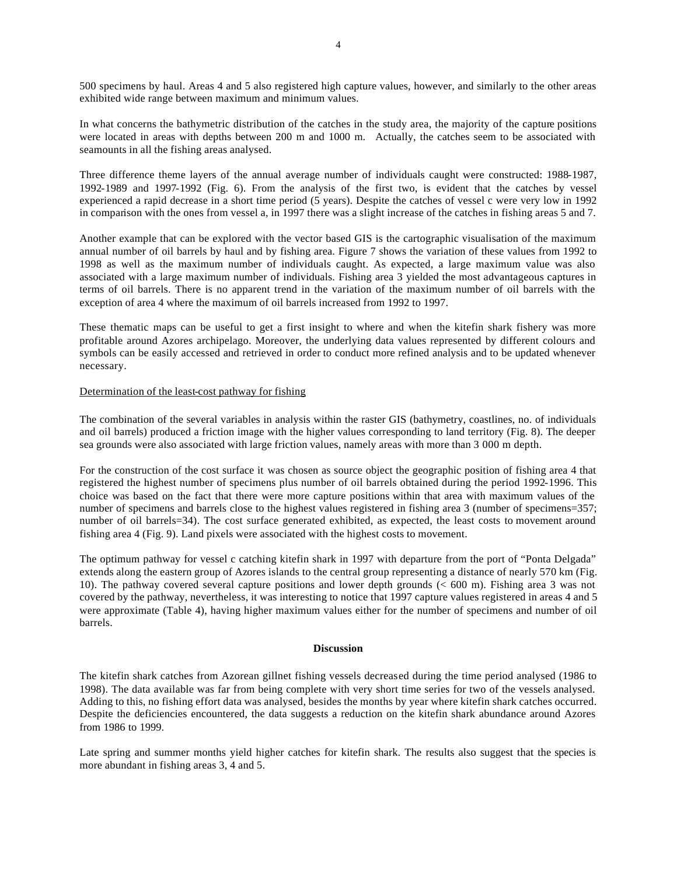500 specimens by haul. Areas 4 and 5 also registered high capture values, however, and similarly to the other areas exhibited wide range between maximum and minimum values.

In what concerns the bathymetric distribution of the catches in the study area, the majority of the capture positions were located in areas with depths between 200 m and 1000 m. Actually, the catches seem to be associated with seamounts in all the fishing areas analysed.

Three difference theme layers of the annual average number of individuals caught were constructed: 1988-1987, 1992-1989 and 1997-1992 (Fig. 6). From the analysis of the first two, is evident that the catches by vessel experienced a rapid decrease in a short time period (5 years). Despite the catches of vessel c were very low in 1992 in comparison with the ones from vessel a, in 1997 there was a slight increase of the catches in fishing areas 5 and 7.

Another example that can be explored with the vector based GIS is the cartographic visualisation of the maximum annual number of oil barrels by haul and by fishing area. Figure 7 shows the variation of these values from 1992 to 1998 as well as the maximum number of individuals caught. As expected, a large maximum value was also associated with a large maximum number of individuals. Fishing area 3 yielded the most advantageous captures in terms of oil barrels. There is no apparent trend in the variation of the maximum number of oil barrels with the exception of area 4 where the maximum of oil barrels increased from 1992 to 1997.

These thematic maps can be useful to get a first insight to where and when the kitefin shark fishery was more profitable around Azores archipelago. Moreover, the underlying data values represented by different colours and symbols can be easily accessed and retrieved in order to conduct more refined analysis and to be updated whenever necessary.

### Determination of the least-cost pathway for fishing

The combination of the several variables in analysis within the raster GIS (bathymetry, coastlines, no. of individuals and oil barrels) produced a friction image with the higher values corresponding to land territory (Fig. 8). The deeper sea grounds were also associated with large friction values, namely areas with more than 3 000 m depth.

For the construction of the cost surface it was chosen as source object the geographic position of fishing area 4 that registered the highest number of specimens plus number of oil barrels obtained during the period 1992-1996. This choice was based on the fact that there were more capture positions within that area with maximum values of the number of specimens and barrels close to the highest values registered in fishing area 3 (number of specimens=357; number of oil barrels=34). The cost surface generated exhibited, as expected, the least costs to movement around fishing area 4 (Fig. 9). Land pixels were associated with the highest costs to movement.

The optimum pathway for vessel c catching kitefin shark in 1997 with departure from the port of "Ponta Delgada" extends along the eastern group of Azores islands to the central group representing a distance of nearly 570 km (Fig. 10). The pathway covered several capture positions and lower depth grounds (< 600 m). Fishing area 3 was not covered by the pathway, nevertheless, it was interesting to notice that 1997 capture values registered in areas 4 and 5 were approximate (Table 4), having higher maximum values either for the number of specimens and number of oil barrels.

### **Discussion**

The kitefin shark catches from Azorean gillnet fishing vessels decreased during the time period analysed (1986 to 1998). The data available was far from being complete with very short time series for two of the vessels analysed. Adding to this, no fishing effort data was analysed, besides the months by year where kitefin shark catches occurred. Despite the deficiencies encountered, the data suggests a reduction on the kitefin shark abundance around Azores from 1986 to 1999.

Late spring and summer months yield higher catches for kitefin shark. The results also suggest that the species is more abundant in fishing areas 3, 4 and 5.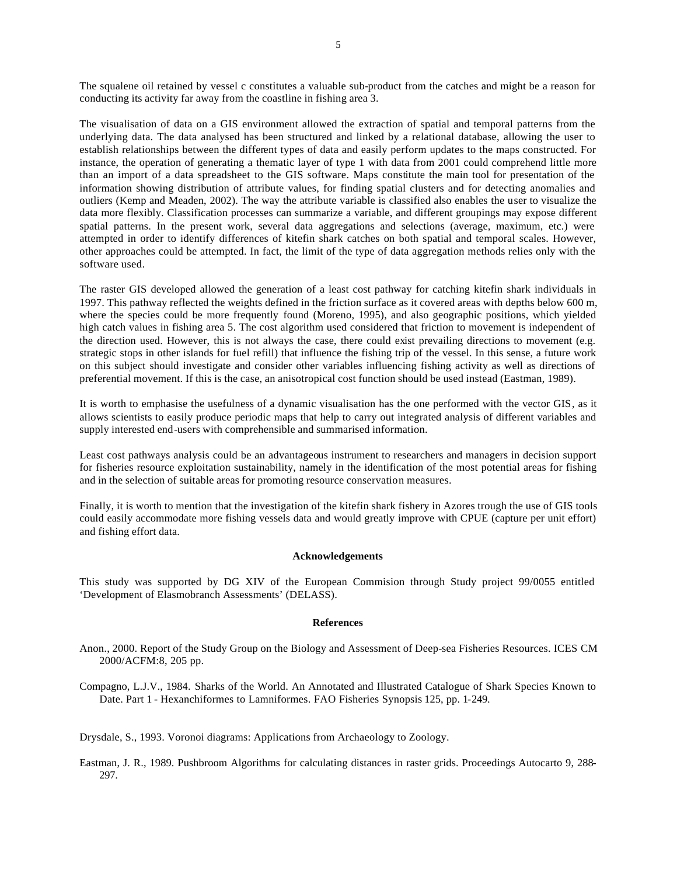The squalene oil retained by vessel c constitutes a valuable sub-product from the catches and might be a reason for conducting its activity far away from the coastline in fishing area 3.

The visualisation of data on a GIS environment allowed the extraction of spatial and temporal patterns from the underlying data. The data analysed has been structured and linked by a relational database, allowing the user to establish relationships between the different types of data and easily perform updates to the maps constructed. For instance, the operation of generating a thematic layer of type 1 with data from 2001 could comprehend little more than an import of a data spreadsheet to the GIS software. Maps constitute the main tool for presentation of the information showing distribution of attribute values, for finding spatial clusters and for detecting anomalies and outliers (Kemp and Meaden, 2002). The way the attribute variable is classified also enables the user to visualize the data more flexibly. Classification processes can summarize a variable, and different groupings may expose different spatial patterns. In the present work, several data aggregations and selections (average, maximum, etc.) were attempted in order to identify differences of kitefin shark catches on both spatial and temporal scales. However, other approaches could be attempted. In fact, the limit of the type of data aggregation methods relies only with the software used.

The raster GIS developed allowed the generation of a least cost pathway for catching kitefin shark individuals in 1997. This pathway reflected the weights defined in the friction surface as it covered areas with depths below 600 m, where the species could be more frequently found (Moreno, 1995), and also geographic positions, which yielded high catch values in fishing area 5. The cost algorithm used considered that friction to movement is independent of the direction used. However, this is not always the case, there could exist prevailing directions to movement (e.g. strategic stops in other islands for fuel refill) that influence the fishing trip of the vessel. In this sense, a future work on this subject should investigate and consider other variables influencing fishing activity as well as directions of preferential movement. If this is the case, an anisotropical cost function should be used instead (Eastman, 1989).

It is worth to emphasise the usefulness of a dynamic visualisation has the one performed with the vector GIS, as it allows scientists to easily produce periodic maps that help to carry out integrated analysis of different variables and supply interested end-users with comprehensible and summarised information.

Least cost pathways analysis could be an advantageous instrument to researchers and managers in decision support for fisheries resource exploitation sustainability, namely in the identification of the most potential areas for fishing and in the selection of suitable areas for promoting resource conservation measures.

Finally, it is worth to mention that the investigation of the kitefin shark fishery in Azores trough the use of GIS tools could easily accommodate more fishing vessels data and would greatly improve with CPUE (capture per unit effort) and fishing effort data.

### **Acknowledgements**

This study was supported by DG XIV of the European Commision through Study project 99/0055 entitled 'Development of Elasmobranch Assessments' (DELASS).

#### **References**

- Anon., 2000. Report of the Study Group on the Biology and Assessment of Deep-sea Fisheries Resources. ICES CM 2000/ACFM:8, 205 pp.
- Compagno, L.J.V., 1984. Sharks of the World. An Annotated and Illustrated Catalogue of Shark Species Known to Date. Part 1 - Hexanchiformes to Lamniformes. FAO Fisheries Synopsis 125, pp. 1-249.

Drysdale, S., 1993. Voronoi diagrams: Applications from Archaeology to Zoology.

Eastman, J. R., 1989. Pushbroom Algorithms for calculating distances in raster grids. Proceedings Autocarto 9, 288- 297.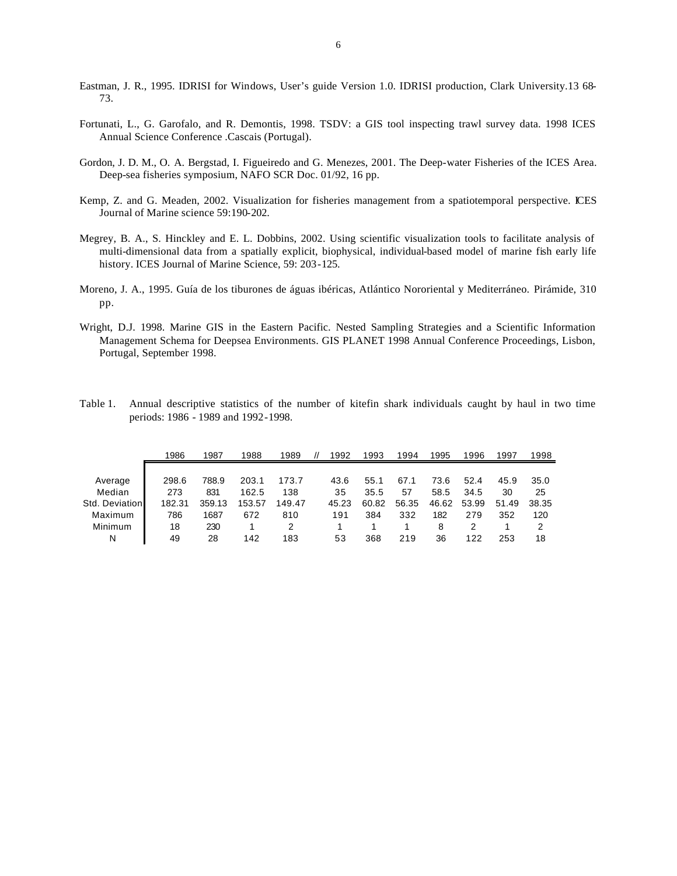- Eastman, J. R., 1995. IDRISI for Windows, User's guide Version 1.0. IDRISI production, Clark University.13 68- 73.
- Fortunati, L., G. Garofalo, and R. Demontis, 1998. TSDV: a GIS tool inspecting trawl survey data. 1998 ICES Annual Science Conference .Cascais (Portugal).
- Gordon, J. D. M., O. A. Bergstad, I. Figueiredo and G. Menezes, 2001. The Deep-water Fisheries of the ICES Area. Deep-sea fisheries symposium, NAFO SCR Doc. 01/92, 16 pp.
- Kemp, Z. and G. Meaden, 2002. Visualization for fisheries management from a spatiotemporal perspective. ICES Journal of Marine science 59:190-202.
- Megrey, B. A., S. Hinckley and E. L. Dobbins, 2002. Using scientific visualization tools to facilitate analysis of multi-dimensional data from a spatially explicit, biophysical, individual-based model of marine fish early life history. ICES Journal of Marine Science, 59: 203-125.
- Moreno, J. A., 1995. Guía de los tiburones de águas ibéricas, Atlántico Nororiental y Mediterráneo. Pirámide, 310 pp.
- Wright, D.J. 1998. Marine GIS in the Eastern Pacific. Nested Sampling Strategies and a Scientific Information Management Schema for Deepsea Environments. GIS PLANET 1998 Annual Conference Proceedings, Lisbon, Portugal, September 1998.
- Table 1. Annual descriptive statistics of the number of kitefin shark individuals caught by haul in two time periods: 1986 - 1989 and 1992-1998.

|                | 1986   | 1987   | 1988   | 1989   | 1992  | 1993  | 1994  | 1995  | 1996  | 1997  | 1998  |
|----------------|--------|--------|--------|--------|-------|-------|-------|-------|-------|-------|-------|
|                |        |        |        |        |       |       |       |       |       |       |       |
| Average        | 298.6  | 788.9  | 203.1  | 173.7  | 43.6  | 55.1  | 67.1  | 73.6  | 52.4  | 45.9  | 35.0  |
| Median         | 273    | 831    | 162.5  | 138    | 35    | 35.5  | 57    | 58.5  | 34.5  | 30    | 25    |
| Std. Deviation | 182.31 | 359.13 | 153.57 | 149.47 | 45.23 | 60.82 | 56.35 | 46.62 | 53.99 | 51.49 | 38.35 |
| Maximum        | 786    | 1687   | 672    | 810    | 191   | 384   | 332   | 182   | 279   | 352   | 120   |
| Minimum        | 18     | 230    |        |        |       |       |       | 8     | 2     |       |       |
| Ν              | 49     | 28     | 142    | 183    | 53    | 368   | 219   | 36    | 122   | 253   | 18    |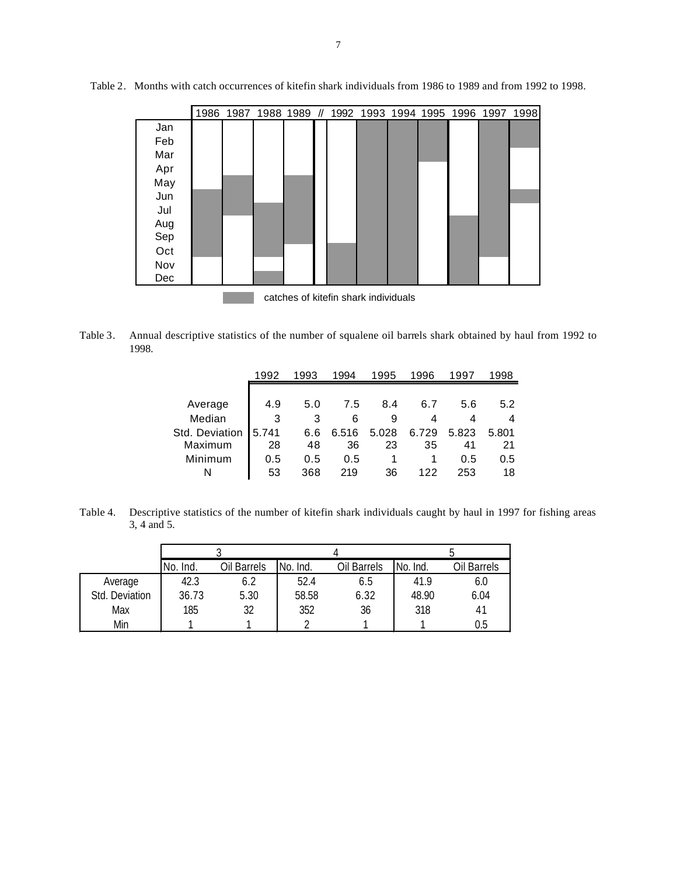|     | 1986                                 |  |  |  |  |  | 1987 1988 1989 // 1992 1993 1994 1995 1996 1997 |  |  | 1998 |
|-----|--------------------------------------|--|--|--|--|--|-------------------------------------------------|--|--|------|
| Jan |                                      |  |  |  |  |  |                                                 |  |  |      |
| Feb |                                      |  |  |  |  |  |                                                 |  |  |      |
| Mar |                                      |  |  |  |  |  |                                                 |  |  |      |
| Apr |                                      |  |  |  |  |  |                                                 |  |  |      |
| May |                                      |  |  |  |  |  |                                                 |  |  |      |
| Jun |                                      |  |  |  |  |  |                                                 |  |  |      |
| Jul |                                      |  |  |  |  |  |                                                 |  |  |      |
| Aug |                                      |  |  |  |  |  |                                                 |  |  |      |
| Sep |                                      |  |  |  |  |  |                                                 |  |  |      |
| Oct |                                      |  |  |  |  |  |                                                 |  |  |      |
| Nov |                                      |  |  |  |  |  |                                                 |  |  |      |
| Dec |                                      |  |  |  |  |  |                                                 |  |  |      |
|     | catches of kitefin shark individuals |  |  |  |  |  |                                                 |  |  |      |

Table 2. Months with catch occurrences of kitefin shark individuals from 1986 to 1989 and from 1992 to 1998.

Table 3. Annual descriptive statistics of the number of squalene oil barrels shark obtained by haul from 1992 to 1998.

|                | 1992  | 993 | 1994  | 1995  | 1996  | 1997  | 998   |
|----------------|-------|-----|-------|-------|-------|-------|-------|
|                |       |     |       |       |       |       |       |
| Average        | 4.9   | 5.0 | 7.5   | 8.4   | 6.7   | 5.6   | 5.2   |
| Median         | 3     | 3   | 6     | 9     | 4     |       | 4     |
| Std. Deviation | 5.741 | 6.6 | 6.516 | 5.028 | 6.729 | 5.823 | 5.801 |
| Maximum        | 28    | 48  | 36    | 23    | 35    | 41    | 21    |
| Minimum        | 0.5   | 0.5 | 0.5   |       |       | 0.5   | 0.5   |
| N              | 53    | 368 | 219   | 36    | 122   | 253   | 18    |

Table 4. Descriptive statistics of the number of kitefin shark individuals caught by haul in 1997 for fishing areas 3, 4 and 5.

|                | No. Ind. | Oil Barrels | No. Ind. | Oil Barrels | No. Ind. | Oil Barrels |  |
|----------------|----------|-------------|----------|-------------|----------|-------------|--|
| Average        | 42.3     | 6.Z         | 52.4     | 6.5         | 41.9     | 6.0         |  |
| Std. Deviation | 36.73    | 5.30        | 58.58    | 6.32        | 48.90    | 6.04        |  |
| Max            | 185      | 32          | 352      | 36          | 318      | 41          |  |
| Min            |          |             |          |             |          | 0.5         |  |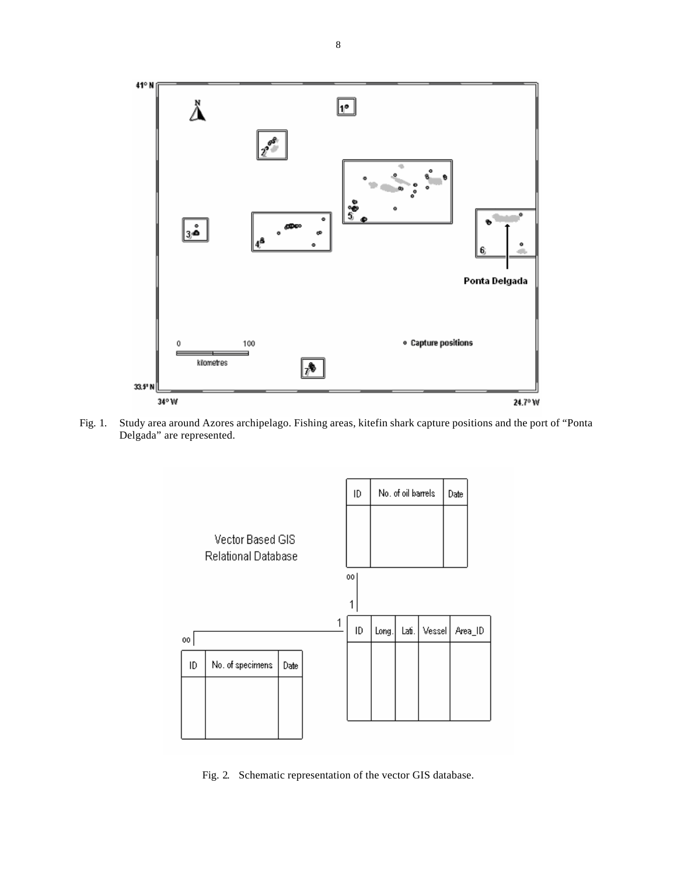

Fig. 1. Study area around Azores archipelago. Fishing areas, kitefin shark capture positions and the port of "Ponta Delgada" are represented.



Fig. 2. Schematic representation of the vector GIS database.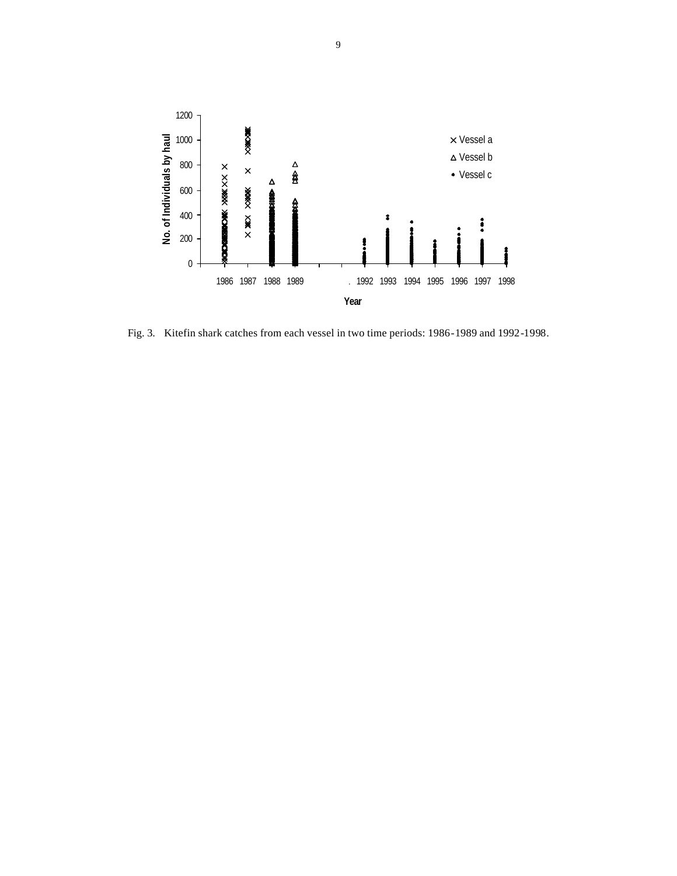

Fig. 3. Kitefin shark catches from each vessel in two time periods: 1986-1989 and 1992-1998.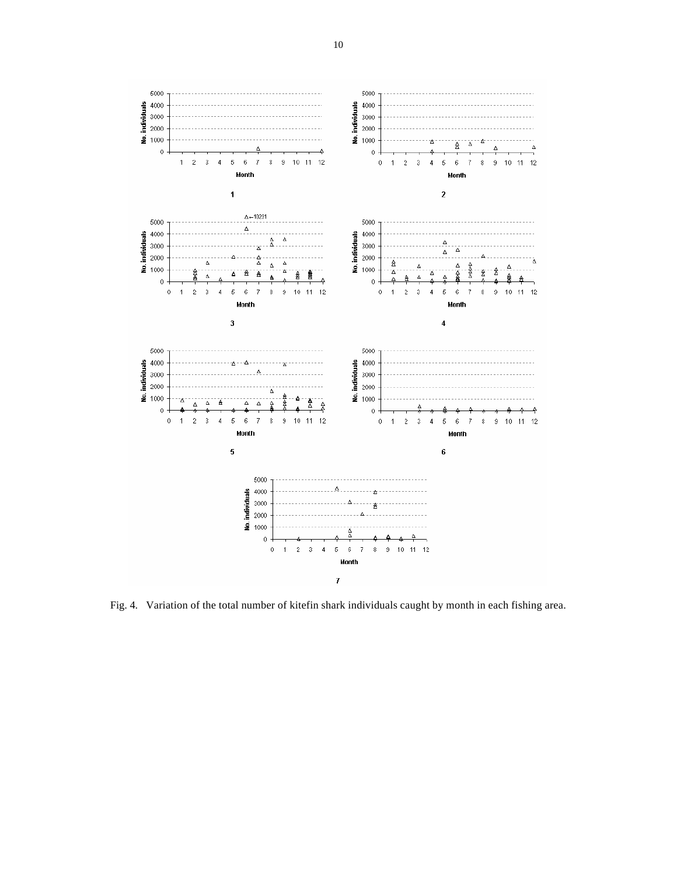

Fig. 4. Variation of the total number of kitefin shark individuals caught by month in each fishing area.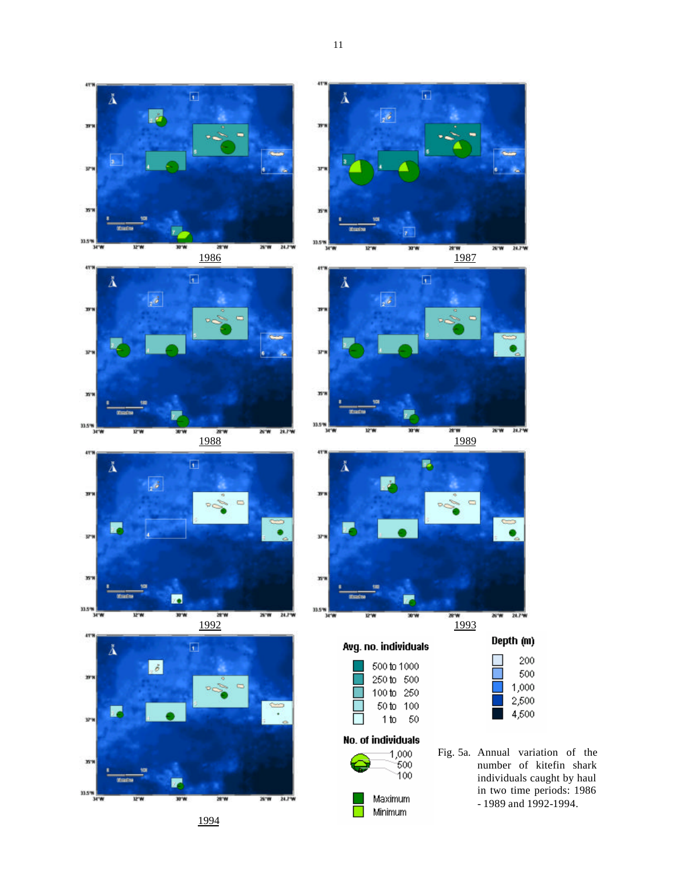















Avg. no. individuals

|                                    | 500 tn 1000<br>250 to 500<br>100 to 250<br>50 to 100 |    |  |  |  |  |  |
|------------------------------------|------------------------------------------------------|----|--|--|--|--|--|
|                                    | 1 to                                                 | 50 |  |  |  |  |  |
| No. of individuals<br>1.000<br>500 |                                                      |    |  |  |  |  |  |

Maximum Minimum  $\overline{\phantom{a}}$ 

Fig. 5a. Annual variation of the number of kitefin shark individuals caught by haul in two time periods: 1986

Depth (m)

200

500

1,000 2,500

4,500

- 1989 and 1992-1994.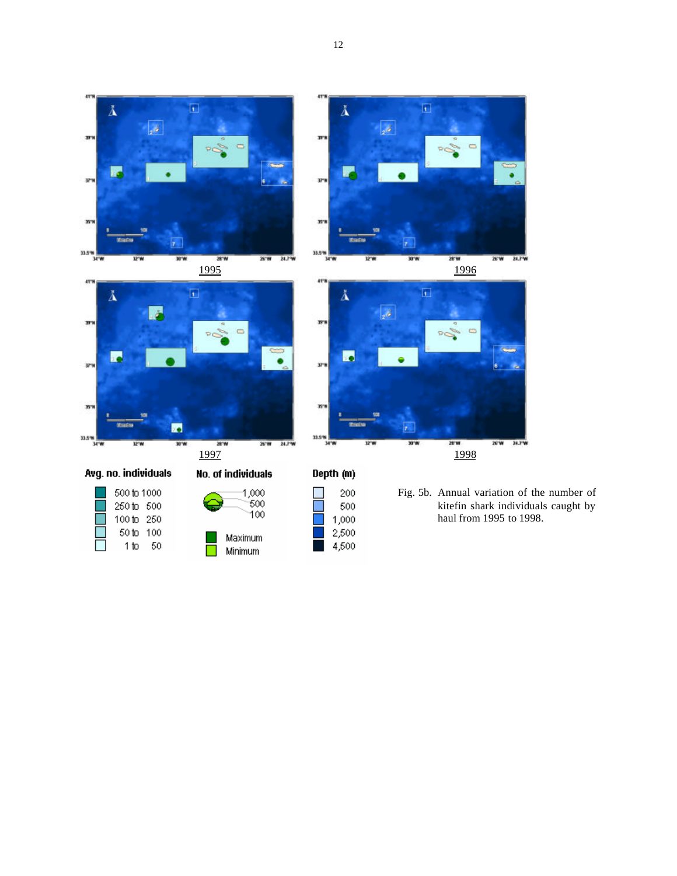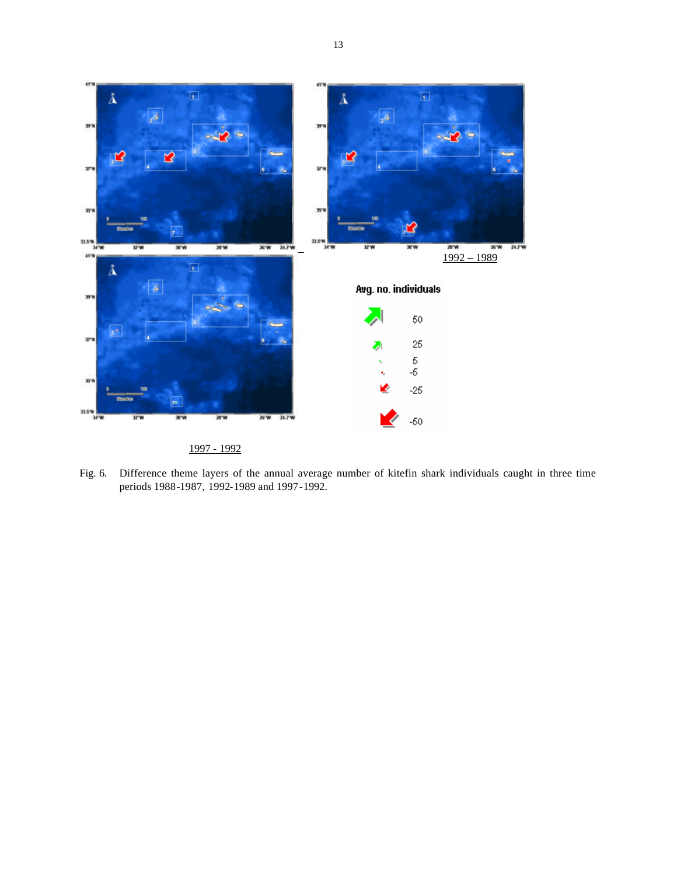

1997 - 1992

Fig. 6. Difference theme layers of the annual average number of kitefin shark individuals caught in three time periods 1988-1987, 1992-1989 and 1997-1992.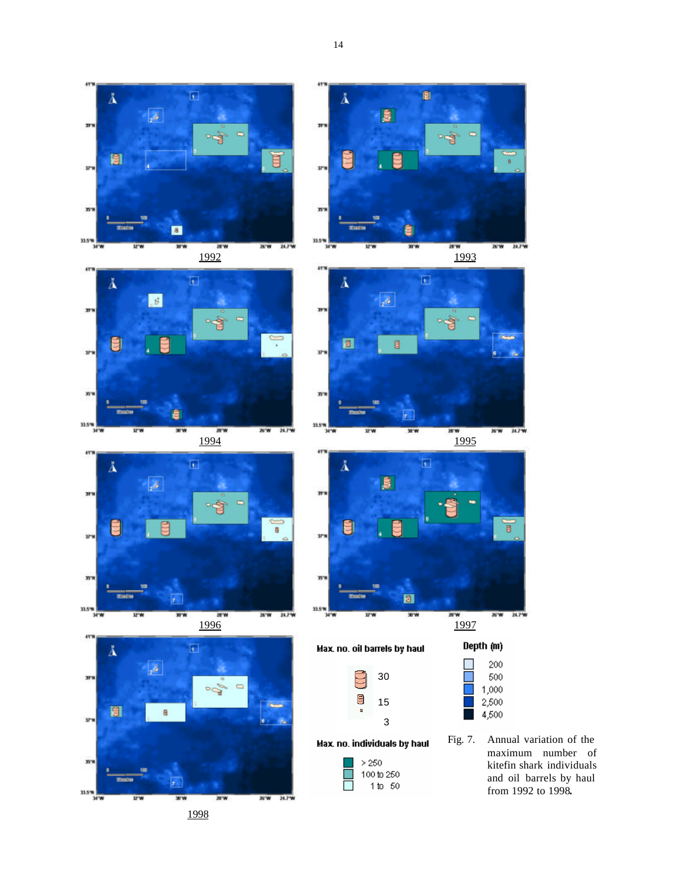















Max. no. oil barrels by haul



 $\vert \vert > 250$ 

 $\mathbb{R}^n$ 

 $100\,\mathrm{to}\,250$ 1 to 50



Depth (m)

200

Fig. 7. Annual variation of the maximum number of kitefin shark individuals and oil barrels by haul from 1992 to 1998**.**

1998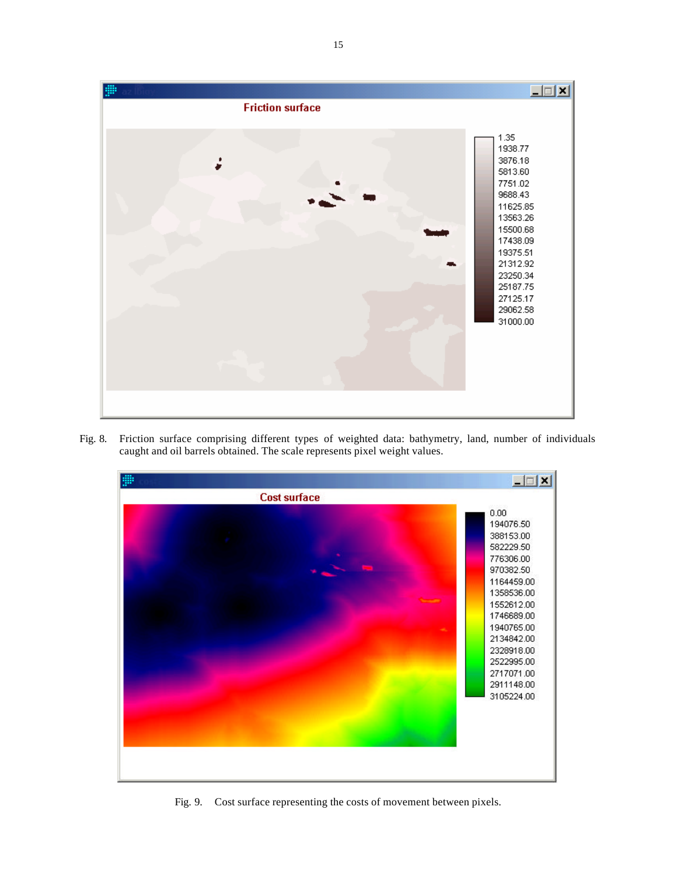

Fig. 8. Friction surface comprising different types of weighted data: bathymetry, land, number of individuals caught and oil barrels obtained. The scale represents pixel weight values.



Fig. 9. Cost surface representing the costs of movement between pixels.